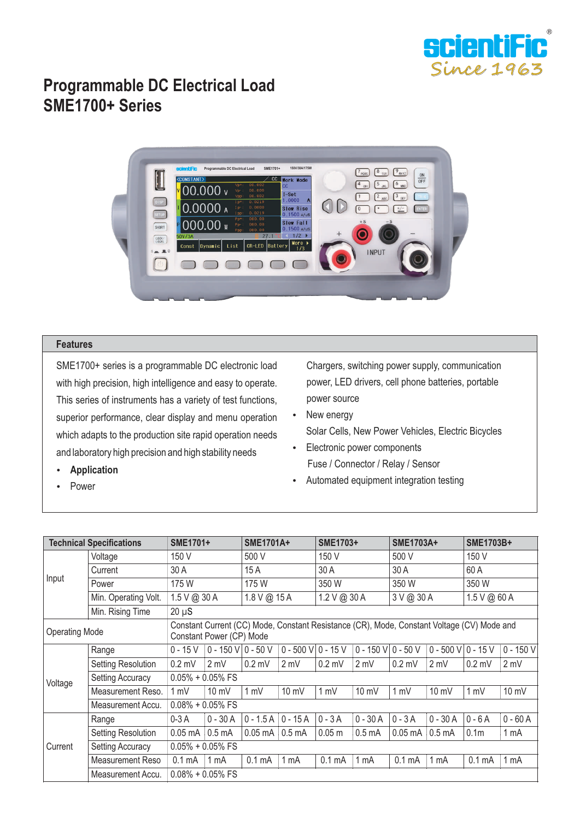

## **Programmable DC Electrical Load SME1700+ Series**



## **Features**

SME1700+ series is a programmable DC electronic load with high precision, high intelligence and easy to operate. This series of instruments has a variety of test functions, superior performance, clear display and menu operation which adapts to the production site rapid operation needs and laboratory high precision and high stability needs

- Chargers, switching power supply, communication power, LED drivers, cell phone batteries, portable power source
- New energy Solar Cells, New Power Vehicles, Electric Bicycles
- Electronic power components Fuse / Connector / Relay / Sensor
- Automated equipment integration testing

| <b>Technical Specifications</b> |                         | <b>SME1701+</b>                                                                                                        |                        | <b>SME1701A+</b>    |                        | SME1703+           |                        | <b>SME1703A+</b>         |                        | <b>SME1703B+</b>   |                 |  |
|---------------------------------|-------------------------|------------------------------------------------------------------------------------------------------------------------|------------------------|---------------------|------------------------|--------------------|------------------------|--------------------------|------------------------|--------------------|-----------------|--|
| Input                           | Voltage                 | 150 V                                                                                                                  |                        | 500 V               |                        | 150 V              |                        | 500 V                    |                        | 150 V              |                 |  |
|                                 | Current                 | 30 A                                                                                                                   |                        | 15 A                |                        | 30 A               |                        | 30 A                     |                        | 60 A               |                 |  |
|                                 | Power                   | 175 W                                                                                                                  |                        | 175 W               |                        | 350 W              |                        | 350 W                    |                        | 350 W              |                 |  |
|                                 | Min. Operating Volt.    | 1.5 V @ 30 A                                                                                                           |                        | 1.8 V @ 15 A        |                        | $1.2 V$ @ 30 A     |                        | 3 V @ 30 A               |                        | 1.5 V @ 60 A       |                 |  |
|                                 | Min. Rising Time        | $20 \mu S$                                                                                                             |                        |                     |                        |                    |                        |                          |                        |                    |                 |  |
| <b>Operating Mode</b>           |                         | Constant Current (CC) Mode, Constant Resistance (CR), Mode, Constant Voltage (CV) Mode and<br>Constant Power (CP) Mode |                        |                     |                        |                    |                        |                          |                        |                    |                 |  |
| Voltage                         | Range                   | $0 - 15V$                                                                                                              | $0 - 150$ V $0 - 50$ V |                     | $0 - 500$ V $0 - 15$ V |                    | $0 - 150$ V $0 - 50$ V |                          | $0 - 500$ V $0 - 15$ V |                    | $0 - 150 V$     |  |
|                                 | Setting Resolution      | $0.2$ mV                                                                                                               | $2 \text{ mV}$         | $0.2$ mV            | 2 mV                   | $0.2$ mV           | 2 mV                   | $0.2$ mV                 | 2 mV                   | $0.2$ mV           | 2 mV            |  |
|                                 | <b>Setting Accuracy</b> | $0.05\% + 0.05\%$ FS                                                                                                   |                        |                     |                        |                    |                        |                          |                        |                    |                 |  |
|                                 | Measurement Reso.       | $1 \text{ mV}$                                                                                                         | $10 \text{ mV}$        | 1 mV                | $10 \text{ mV}$        | 1 mV               | 10 mV                  | 1 mV                     | 10 mV                  | 1 mV               | 10 mV           |  |
|                                 | Measurement Accu.       | $0.08\% + 0.05\%$ FS                                                                                                   |                        |                     |                        |                    |                        |                          |                        |                    |                 |  |
| Current                         | Range                   | $0-3A$                                                                                                                 | $0 - 30A$              | $0 - 1.5A$ 0 - 15 A |                        | $0 - 3A$           | $0 - 30A$              | $0 - 3A$                 | $0 - 30A$              | $0 - 6A$           | $0 - 60A$       |  |
|                                 | Setting Resolution      | $0.05 \text{ mA}$ 0.5 mA                                                                                               |                        | $0.05$ mA $0.5$ mA  |                        | 0.05 m             | 0.5 <sub>m</sub> A     | $0.05 \text{ mA}$ 0.5 mA |                        | 0.1 <sub>m</sub>   | 1 mA            |  |
|                                 | <b>Setting Accuracy</b> | $0.05\% + 0.05\%$ FS                                                                                                   |                        |                     |                        |                    |                        |                          |                        |                    |                 |  |
|                                 | Measurement Reso        | 0.1 <sub>m</sub> A                                                                                                     | 1 <sub>mA</sub>        | 0.1 <sub>m</sub> A  | $1 \text{ mA}$         | 0.1 <sub>m</sub> A | 1 <sub>m</sub> A       | 0.1 <sub>m</sub> A       | 1 <sub>m</sub> A       | 0.1 <sub>m</sub> A | 1 <sub>mA</sub> |  |
|                                 | Measurement Accu.       | $0.08\% + 0.05\%$ FS                                                                                                   |                        |                     |                        |                    |                        |                          |                        |                    |                 |  |

Power

**•** Application